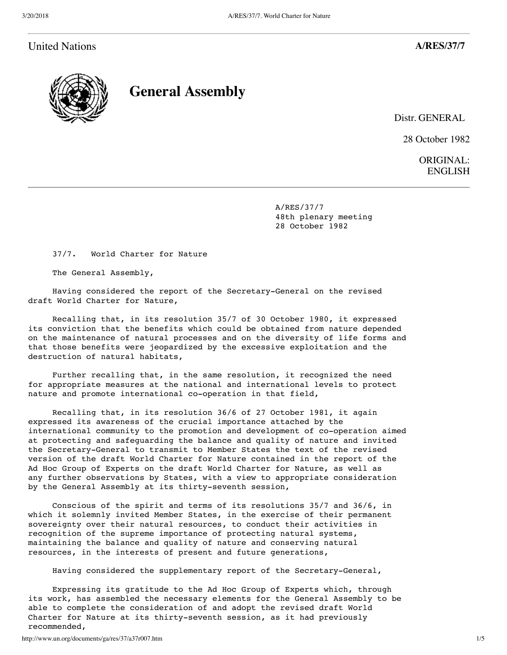# United Nations **A/RES/37/7**



**General Assembly**

Distr. GENERAL

28 October 1982

ORIGINAL: ENGLISH

 A/RES/37/7 48th plenary meeting 28 October 1982

37/7. World Charter for Nature

The General Assembly,

 Having considered the report of the Secretary-General on the revised draft World Charter for Nature,

 Recalling that, in its resolution 35/7 of 30 October 1980, it expressed its conviction that the benefits which could be obtained from nature depended on the maintenance of natural processes and on the diversity of life forms and that those benefits were jeopardized by the excessive exploitation and the destruction of natural habitats,

 Further recalling that, in the same resolution, it recognized the need for appropriate measures at the national and international levels to protect nature and promote international co-operation in that field,

 Recalling that, in its resolution 36/6 of 27 October 1981, it again expressed its awareness of the crucial importance attached by the international community to the promotion and development of co-operation aimed at protecting and safeguarding the balance and quality of nature and invited the Secretary-General to transmit to Member States the text of the revised version of the draft World Charter for Nature contained in the report of the Ad Hoc Group of Experts on the draft World Charter for Nature, as well as any further observations by States, with a view to appropriate consideration by the General Assembly at its thirty-seventh session,

 Conscious of the spirit and terms of its resolutions 35/7 and 36/6, in which it solemnly invited Member States, in the exercise of their permanent sovereignty over their natural resources, to conduct their activities in recognition of the supreme importance of protecting natural systems, maintaining the balance and quality of nature and conserving natural resources, in the interests of present and future generations,

Having considered the supplementary report of the Secretary-General,

 Expressing its gratitude to the Ad Hoc Group of Experts which, through its work, has assembled the necessary elements for the General Assembly to be able to complete the consideration of and adopt the revised draft World Charter for Nature at its thirty-seventh session, as it had previously recommended,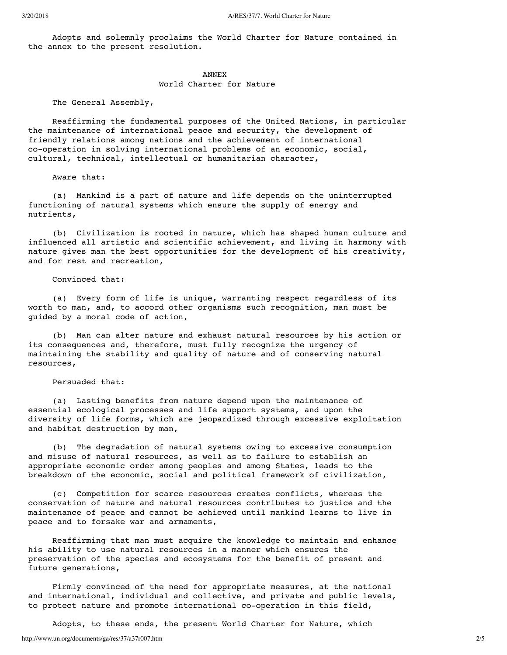Adopts and solemnly proclaims the World Charter for Nature contained in the annex to the present resolution.

#### ANNEX

#### World Charter for Nature

The General Assembly,

 Reaffirming the fundamental purposes of the United Nations, in particular the maintenance of international peace and security, the development of friendly relations among nations and the achievement of international co-operation in solving international problems of an economic, social, cultural, technical, intellectual or humanitarian character,

#### Aware that:

 (a) Mankind is a part of nature and life depends on the uninterrupted functioning of natural systems which ensure the supply of energy and nutrients,

 (b) Civilization is rooted in nature, which has shaped human culture and influenced all artistic and scientific achievement, and living in harmony with nature gives man the best opportunities for the development of his creativity, and for rest and recreation,

### Convinced that:

 (a) Every form of life is unique, warranting respect regardless of its worth to man, and, to accord other organisms such recognition, man must be guided by a moral code of action,

 (b) Man can alter nature and exhaust natural resources by his action or its consequences and, therefore, must fully recognize the urgency of maintaining the stability and quality of nature and of conserving natural resources,

### Persuaded that:

 (a) Lasting benefits from nature depend upon the maintenance of essential ecological processes and life support systems, and upon the diversity of life forms, which are jeopardized through excessive exploitation and habitat destruction by man,

 (b) The degradation of natural systems owing to excessive consumption and misuse of natural resources, as well as to failure to establish an appropriate economic order among peoples and among States, leads to the breakdown of the economic, social and political framework of civilization,

 (c) Competition for scarce resources creates conflicts, whereas the conservation of nature and natural resources contributes to justice and the maintenance of peace and cannot be achieved until mankind learns to live in peace and to forsake war and armaments,

 Reaffirming that man must acquire the knowledge to maintain and enhance his ability to use natural resources in a manner which ensures the preservation of the species and ecosystems for the benefit of present and future generations,

 Firmly convinced of the need for appropriate measures, at the national and international, individual and collective, and private and public levels, to protect nature and promote international co-operation in this field,

http://www.un.org/documents/ga/res/37/a37r007.htm 2/5 Adopts, to these ends, the present World Charter for Nature, which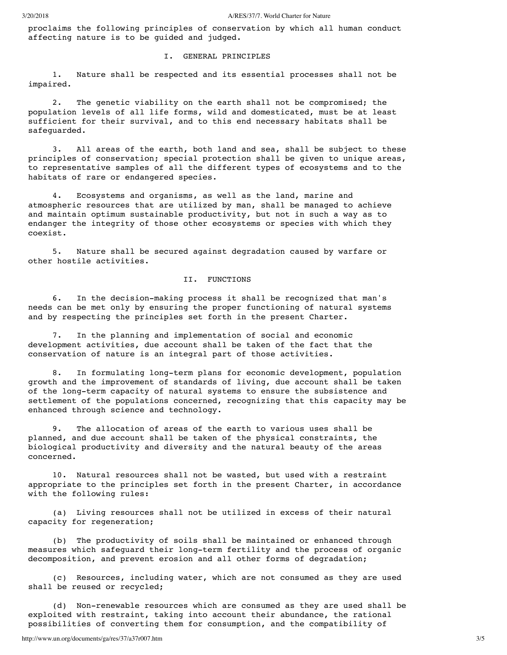proclaims the following principles of conservation by which all human conduct affecting nature is to be guided and judged.

# I. GENERAL PRINCIPLES

 1. Nature shall be respected and its essential processes shall not be impaired.

 2. The genetic viability on the earth shall not be compromised; the population levels of all life forms, wild and domesticated, must be at least sufficient for their survival, and to this end necessary habitats shall be safeguarded.

 3. All areas of the earth, both land and sea, shall be subject to these principles of conservation; special protection shall be given to unique areas, to representative samples of all the different types of ecosystems and to the habitats of rare or endangered species.

 4. Ecosystems and organisms, as well as the land, marine and atmospheric resources that are utilized by man, shall be managed to achieve and maintain optimum sustainable productivity, but not in such a way as to endanger the integrity of those other ecosystems or species with which they coexist.

 5. Nature shall be secured against degradation caused by warfare or other hostile activities.

# II. FUNCTIONS

 6. In the decision-making process it shall be recognized that man's needs can be met only by ensuring the proper functioning of natural systems and by respecting the principles set forth in the present Charter.

 7. In the planning and implementation of social and economic development activities, due account shall be taken of the fact that the conservation of nature is an integral part of those activities.

 8. In formulating long-term plans for economic development, population growth and the improvement of standards of living, due account shall be taken of the long-term capacity of natural systems to ensure the subsistence and settlement of the populations concerned, recognizing that this capacity may be enhanced through science and technology.

 9. The allocation of areas of the earth to various uses shall be planned, and due account shall be taken of the physical constraints, the biological productivity and diversity and the natural beauty of the areas concerned.

 10. Natural resources shall not be wasted, but used with a restraint appropriate to the principles set forth in the present Charter, in accordance with the following rules:

 (a) Living resources shall not be utilized in excess of their natural capacity for regeneration;

 (b) The productivity of soils shall be maintained or enhanced through measures which safeguard their long-term fertility and the process of organic decomposition, and prevent erosion and all other forms of degradation;

 (c) Resources, including water, which are not consumed as they are used shall be reused or recycled;

 (d) Non-renewable resources which are consumed as they are used shall be exploited with restraint, taking into account their abundance, the rational possibilities of converting them for consumption, and the compatibility of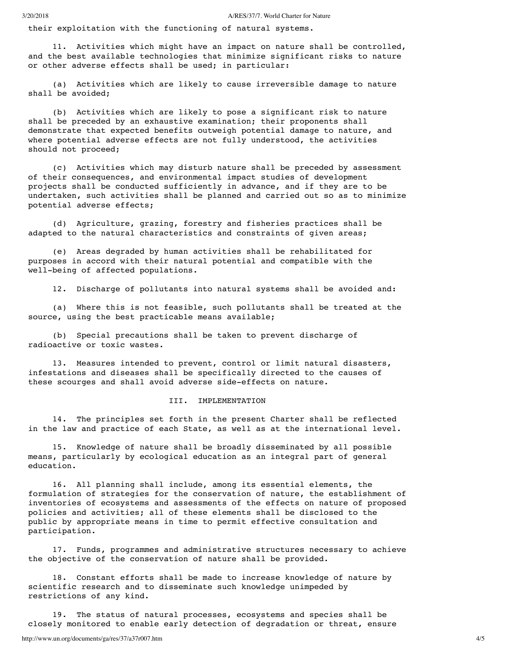their exploitation with the functioning of natural systems.

 11. Activities which might have an impact on nature shall be controlled, and the best available technologies that minimize significant risks to nature or other adverse effects shall be used; in particular:

 (a) Activities which are likely to cause irreversible damage to nature shall be avoided;

 (b) Activities which are likely to pose a significant risk to nature shall be preceded by an exhaustive examination; their proponents shall demonstrate that expected benefits outweigh potential damage to nature, and where potential adverse effects are not fully understood, the activities should not proceed;

 (c) Activities which may disturb nature shall be preceded by assessment of their consequences, and environmental impact studies of development projects shall be conducted sufficiently in advance, and if they are to be undertaken, such activities shall be planned and carried out so as to minimize potential adverse effects;

 (d) Agriculture, grazing, forestry and fisheries practices shall be adapted to the natural characteristics and constraints of given areas;

 (e) Areas degraded by human activities shall be rehabilitated for purposes in accord with their natural potential and compatible with the well-being of affected populations.

12. Discharge of pollutants into natural systems shall be avoided and:

 (a) Where this is not feasible, such pollutants shall be treated at the source, using the best practicable means available;

 (b) Special precautions shall be taken to prevent discharge of radioactive or toxic wastes.

 13. Measures intended to prevent, control or limit natural disasters, infestations and diseases shall be specifically directed to the causes of these scourges and shall avoid adverse side-effects on nature.

# III. IMPLEMENTATION

 14. The principles set forth in the present Charter shall be reflected in the law and practice of each State, as well as at the international level.

 15. Knowledge of nature shall be broadly disseminated by all possible means, particularly by ecological education as an integral part of general education.

 16. All planning shall include, among its essential elements, the formulation of strategies for the conservation of nature, the establishment of inventories of ecosystems and assessments of the effects on nature of proposed policies and activities; all of these elements shall be disclosed to the public by appropriate means in time to permit effective consultation and participation.

 17. Funds, programmes and administrative structures necessary to achieve the objective of the conservation of nature shall be provided.

 18. Constant efforts shall be made to increase knowledge of nature by scientific research and to disseminate such knowledge unimpeded by restrictions of any kind.

 19. The status of natural processes, ecosystems and species shall be closely monitored to enable early detection of degradation or threat, ensure